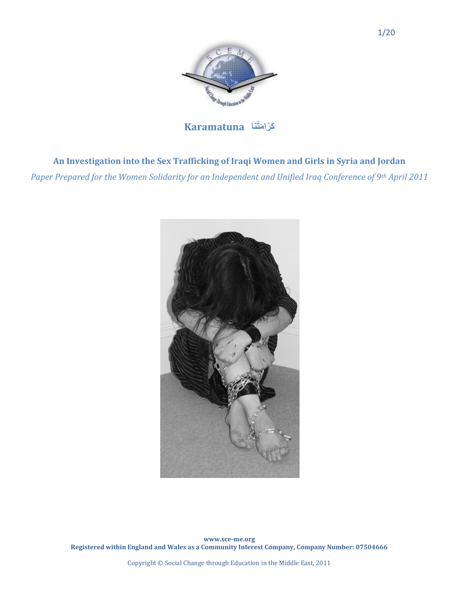

**Karamatuna** 

# **An Investigation into the Sex Trafficking of Iraqi Women and Girls in Syria and Jordan**

*Paper Prepared for the Women Solidarity for an Independent and Unified Iraq Conference of 9th April 2011*



**www.sce-me.org Registered within England and Wales as a Community Interest Company, Company Number: 07504666** 

Copyright © Social Change through Education in the Middle East, 2011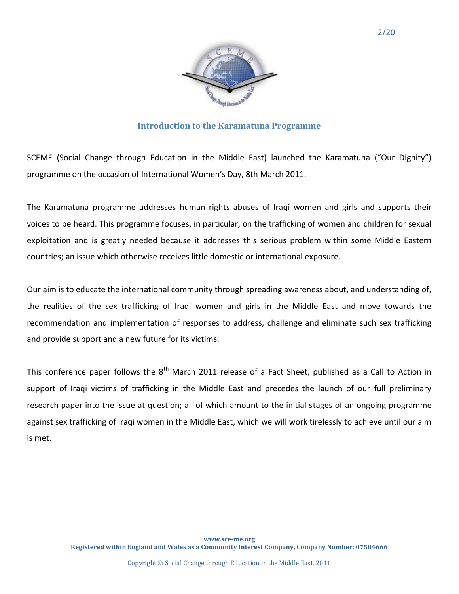

## **Introduction to the Karamatuna Programme**

SCEME (Social Change through Education in the Middle East) launched the Karamatuna ("Our Dignity") programme on the occasion of International Women's Day, 8th March 2011.

The Karamatuna programme addresses human rights abuses of Iraqi women and girls and supports their voices to be heard. This programme focuses, in particular, on the trafficking of women and children for sexual exploitation and is greatly needed because it addresses this serious problem within some Middle Eastern countries; an issue which otherwise receives little domestic or international exposure.

Our aim is to educate the international community through spreading awareness about, and understanding of, the realities of the sex trafficking of Iraqi women and girls in the Middle East and move towards the recommendation and implementation of responses to address, challenge and eliminate such sex trafficking and provide support and a new future for its victims.

This conference paper follows the  $8<sup>th</sup>$  March 2011 release of a Fact Sheet, published as a Call to Action in support of Iraqi victims of trafficking in the Middle East and precedes the launch of our full preliminary research paper into the issue at question; all of which amount to the initial stages of an ongoing programme against sex trafficking of Iraqi women in the Middle East, which we will work tirelessly to achieve until our aim is met.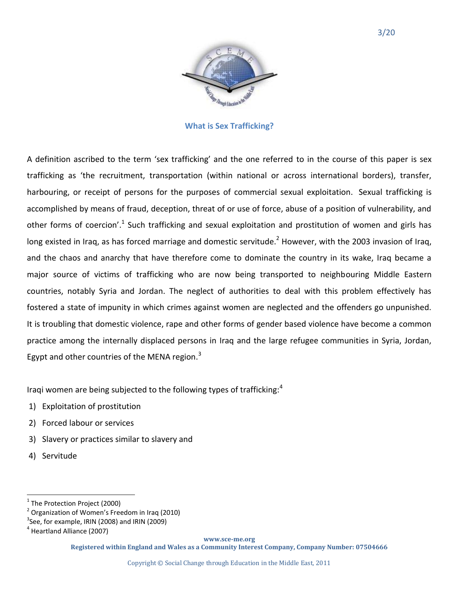

#### **What is Sex Trafficking?**

A definition ascribed to the term 'sex trafficking' and the one referred to in the course of this paper is sex trafficking as 'the recruitment, transportation (within national or across international borders), transfer, harbouring, or receipt of persons for the purposes of commercial sexual exploitation. Sexual trafficking is accomplished by means of fraud, deception, threat of or use of force, abuse of a position of vulnerability, and other forms of coercion'.<sup>1</sup> Such trafficking and sexual exploitation and prostitution of women and girls has long existed in Iraq, as has forced marriage and domestic servitude.<sup>2</sup> However, with the 2003 invasion of Iraq, and the chaos and anarchy that have therefore come to dominate the country in its wake, Iraq became a major source of victims of trafficking who are now being transported to neighbouring Middle Eastern countries, notably Syria and Jordan. The neglect of authorities to deal with this problem effectively has fostered a state of impunity in which crimes against women are neglected and the offenders go unpunished. It is troubling that domestic violence, rape and other forms of gender based violence have become a common practice among the internally displaced persons in Iraq and the large refugee communities in Syria, Jordan, Egypt and other countries of the MENA region.<sup>3</sup>

Iragi women are being subjected to the following types of trafficking: $4$ 

- 1) Exploitation of prostitution
- 2) Forced labour or services
- 3) Slavery or practices similar to slavery and
- 4) Servitude

 $\overline{a}$ 

**www.sce-me.org**

 $^1$  The Protection Project (2000)

 $2$  Organization of Women's Freedom in Iraq (2010)

 $3$ See, for example, IRIN (2008) and IRIN (2009)

<sup>&</sup>lt;sup>4</sup> Heartland Alliance (2007)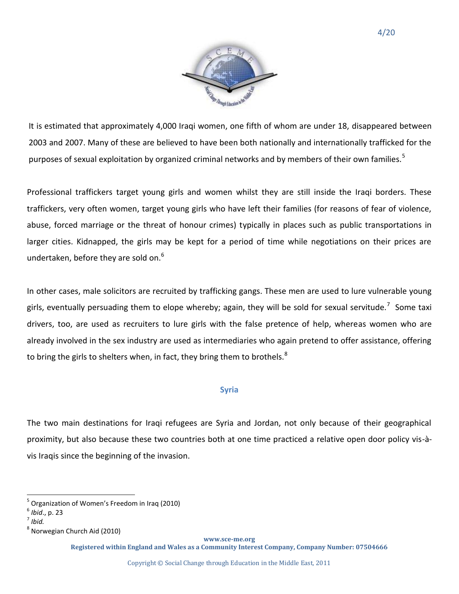

It is estimated that approximately 4,000 Iraqi women, one fifth of whom are under 18, disappeared between 2003 and 2007. Many of these are believed to have been both nationally and internationally trafficked for the purposes of sexual exploitation by organized criminal networks and by members of their own families.<sup>5</sup>

Professional traffickers target young girls and women whilst they are still inside the Iraqi borders. These traffickers, very often women, target young girls who have left their families (for reasons of fear of violence, abuse, forced marriage or the threat of honour crimes) typically in places such as public transportations in larger cities. Kidnapped, the girls may be kept for a period of time while negotiations on their prices are undertaken, before they are sold on. $6$ 

In other cases, male solicitors are recruited by trafficking gangs. These men are used to lure vulnerable young girls, eventually persuading them to elope whereby; again, they will be sold for sexual servitude.<sup>7</sup> Some taxi drivers, too, are used as recruiters to lure girls with the false pretence of help, whereas women who are already involved in the sex industry are used as intermediaries who again pretend to offer assistance, offering to bring the girls to shelters when, in fact, they bring them to brothels. $8$ 

## **Syria**

The two main destinations for Iraqi refugees are Syria and Jordan, not only because of their geographical proximity, but also because these two countries both at one time practiced a relative open door policy vis-àvis Iraqis since the beginning of the invasion.

 $\overline{a}$ 

**www.sce-me.org**

<sup>&</sup>lt;sup>5</sup> Organization of Women's Freedom in Iraq (2010)

<sup>6</sup> *Ibid*., p. 23

<sup>7</sup> *Ibid.*

<sup>&</sup>lt;sup>8</sup> Norwegian Church Aid (2010)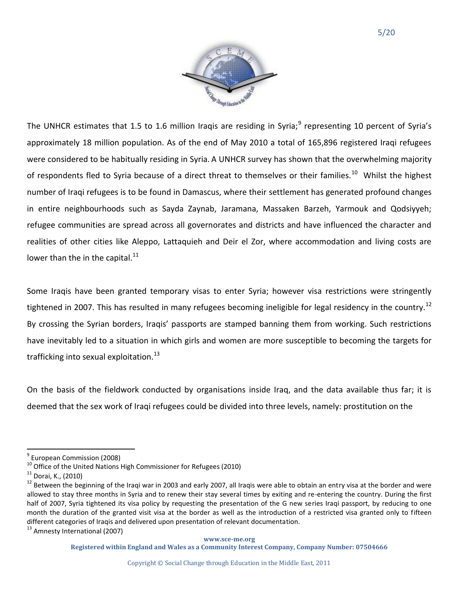

The UNHCR estimates that 1.5 to 1.6 million Iraqis are residing in Syria; $^9$  representing 10 percent of Syria's approximately 18 million population. As of the end of May 2010 a total of 165,896 registered Iraqi refugees were considered to be habitually residing in Syria. A UNHCR survey has shown that the overwhelming majority of respondents fled to Syria because of a direct threat to themselves or their families.<sup>10</sup> Whilst the highest number of Iraqi refugees is to be found in Damascus, where their settlement has generated profound changes in entire neighbourhoods such as Sayda Zaynab, Jaramana, Massaken Barzeh, Yarmouk and Qodsiyyeh; refugee communities are spread across all governorates and districts and have influenced the character and realities of other cities like Aleppo, Lattaquieh and Deir el Zor, where accommodation and living costs are lower than the in the capital. $^{11}$ 

Some Iraqis have been granted temporary visas to enter Syria; however visa restrictions were stringently tightened in 2007. This has resulted in many refugees becoming ineligible for legal residency in the country.<sup>12</sup> By crossing the Syrian borders, Iraqis' passports are stamped banning them from working. Such restrictions have inevitably led to a situation in which girls and women are more susceptible to becoming the targets for trafficking into sexual exploitation. $^{13}$ 

On the basis of the fieldwork conducted by organisations inside Iraq, and the data available thus far; it is deemed that the sex work of Iraqi refugees could be divided into three levels, namely: prostitution on the

<sup>13</sup> Amnesty International (2007)

l <sup>9</sup> European Commission (2008)

 $10$  Office of the United Nations High Commissioner for Refugees (2010)

 $11$  Dorai, K., (2010)

<sup>&</sup>lt;sup>12</sup> Between the beginning of the Iraqi war in 2003 and early 2007, all Iraqis were able to obtain an entry visa at the border and were allowed to stay three months in Syria and to renew their stay several times by exiting and re-entering the country. During the first half of 2007, Syria tightened its visa policy by requesting the presentation of the G new series Iraqi passport, by reducing to one month the duration of the granted visit visa at the border as well as the introduction of a restricted visa granted only to fifteen different categories of Iraqis and delivered upon presentation of relevant documentation.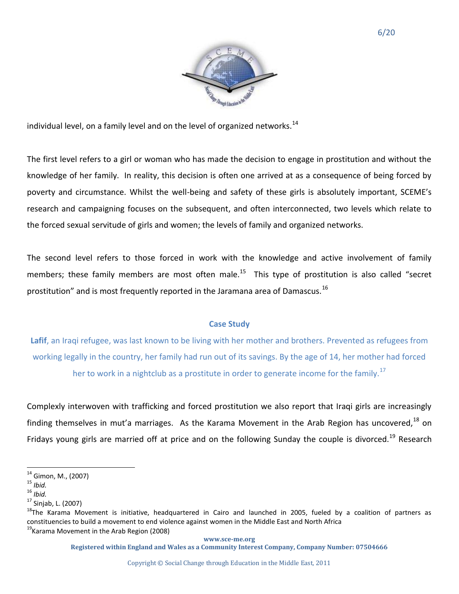individual level, on a family level and on the level of organized networks.<sup>14</sup>

The first level refers to a girl or woman who has made the decision to engage in prostitution and without the knowledge of her family. In reality, this decision is often one arrived at as a consequence of being forced by poverty and circumstance. Whilst the well-being and safety of these girls is absolutely important, SCEME's research and campaigning focuses on the subsequent, and often interconnected, two levels which relate to the forced sexual servitude of girls and women; the levels of family and organized networks.

The second level refers to those forced in work with the knowledge and active involvement of family members; these family members are most often male.<sup>15</sup> This type of prostitution is also called "secret prostitution" and is most frequently reported in the Jaramana area of Damascus.<sup>16</sup>

# **Case Study**

**Lafif**, an Iraqi refugee, was last known to be living with her mother and brothers. Prevented as refugees from working legally in the country, her family had run out of its savings. By the age of 14, her mother had forced her to work in a nightclub as a prostitute in order to generate income for the family.<sup>17</sup>

Complexly interwoven with trafficking and forced prostitution we also report that Iraqi girls are increasingly finding themselves in mut'a marriages. As the Karama Movement in the Arab Region has uncovered, $^{18}$  on Fridays young girls are married off at price and on the following Sunday the couple is divorced.<sup>19</sup> Research

l

<sup>&</sup>lt;sup>14</sup> Gimon, M., (2007)

<sup>15</sup> *Ibid.*

<sup>16</sup> *Ibid.*

 $17$  Sinjab, L. (2007)

<sup>&</sup>lt;sup>18</sup>The Karama Movement is initiative, headquartered in Cairo and launched in 2005, fueled by a coalition of partners as constituencies to build a movement to end violence against women in the Middle East and North Africa <sup>19</sup> Karama Movement in the Arab Region (2008)

**Registered within England and Wales as a Community Interest Company, Company Number: 07504666**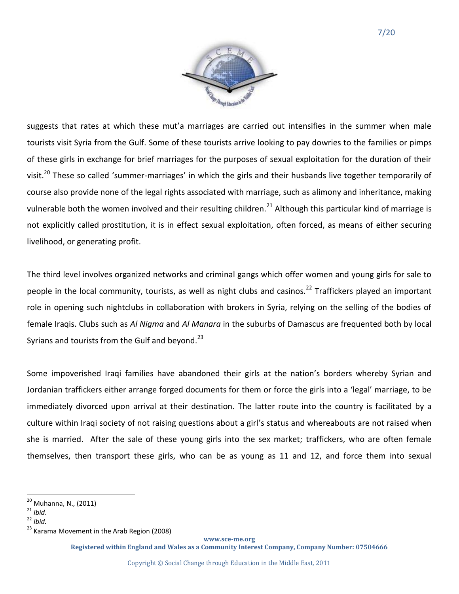

suggests that rates at which these mut'a marriages are carried out intensifies in the summer when male tourists visit Syria from the Gulf. Some of these tourists arrive looking to pay dowries to the families or pimps of these girls in exchange for brief marriages for the purposes of sexual exploitation for the duration of their visit.<sup>20</sup> These so called 'summer-marriages' in which the girls and their husbands live together temporarily of course also provide none of the legal rights associated with marriage, such as alimony and inheritance, making vulnerable both the women involved and their resulting children.<sup>21</sup> Although this particular kind of marriage is not explicitly called prostitution, it is in effect sexual exploitation, often forced, as means of either securing livelihood, or generating profit.

The third level involves organized networks and criminal gangs which offer women and young girls for sale to people in the local community, tourists, as well as night clubs and casinos.<sup>22</sup> Traffickers played an important role in opening such nightclubs in collaboration with brokers in Syria, relying on the selling of the bodies of female Iraqis. Clubs such as *Al Nigma* and *Al Manara* in the suburbs of Damascus are frequented both by local Syrians and tourists from the Gulf and beyond. $^{23}$ 

Some impoverished Iraqi families have abandoned their girls at the nation's borders whereby Syrian and Jordanian traffickers either arrange forged documents for them or force the girls into a 'legal' marriage, to be immediately divorced upon arrival at their destination. The latter route into the country is facilitated by a culture within Iraqi society of not raising questions about a girl's status and whereabouts are not raised when she is married. After the sale of these young girls into the sex market; traffickers, who are often female themselves, then transport these girls, who can be as young as 11 and 12, and force them into sexual

 $\overline{a}$ 

**www.sce-me.org**

<sup>&</sup>lt;sup>20</sup> Muhanna, N., (2011)

<sup>21</sup> *Ibid*.

<sup>22</sup> *Ibid.*

<sup>&</sup>lt;sup>23</sup> Karama Movement in the Arab Region (2008)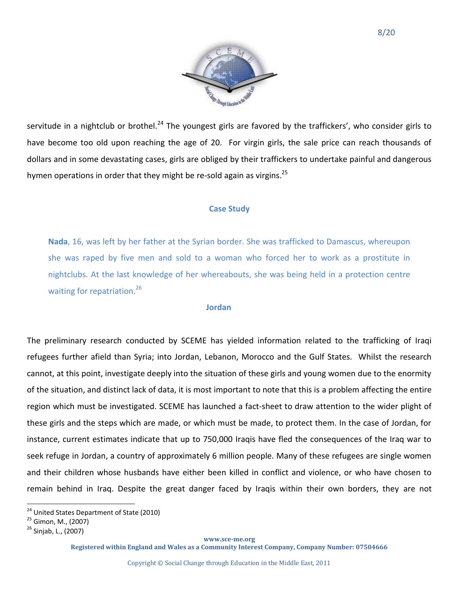

servitude in a nightclub or brothel.<sup>24</sup> The youngest girls are favored by the traffickers', who consider girls to have become too old upon reaching the age of 20. For virgin girls, the sale price can reach thousands of dollars and in some devastating cases, girls are obliged by their traffickers to undertake painful and dangerous hymen operations in order that they might be re-sold again as virgins.<sup>25</sup>

### **Case Study**

**Nada**, 16, was left by her father at the Syrian border. She was trafficked to Damascus, whereupon she was raped by five men and sold to a woman who forced her to work as a prostitute in nightclubs. At the last knowledge of her whereabouts, she was being held in a protection centre waiting for repatriation.<sup>26</sup>

### **Jordan**

The preliminary research conducted by SCEME has yielded information related to the trafficking of Iraqi refugees further afield than Syria; into Jordan, Lebanon, Morocco and the Gulf States. Whilst the research cannot, at this point, investigate deeply into the situation of these girls and young women due to the enormity of the situation, and distinct lack of data, it is most important to note that this is a problem affecting the entire region which must be investigated. SCEME has launched a fact-sheet to draw attention to the wider plight of these girls and the steps which are made, or which must be made, to protect them. In the case of Jordan, for instance, current estimates indicate that up to 750,000 Iraqis have fled the consequences of the Iraq war to seek refuge in Jordan, a country of approximately 6 million people. Many of these refugees are single women and their children whose husbands have either been killed in conflict and violence, or who have chosen to remain behind in Iraq. Despite the great danger faced by Iraqis within their own borders, they are not

 $\overline{a}$ 

#### **www.sce-me.org**

<sup>&</sup>lt;sup>24</sup> United States Department of State (2010)

<sup>&</sup>lt;sup>25</sup> Gimon, M., (2007)

<sup>&</sup>lt;sup>26</sup> Sinjab, L., (2007)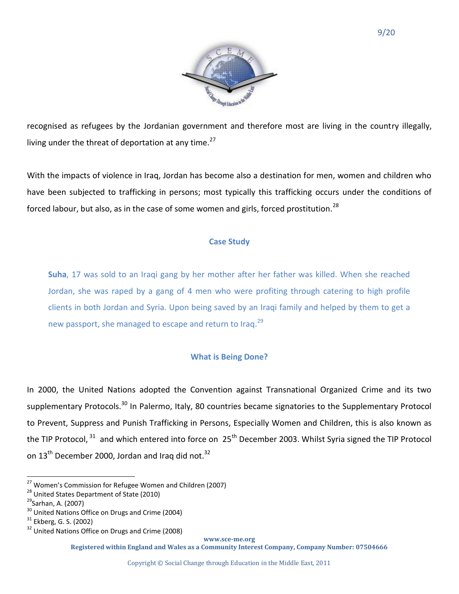

recognised as refugees by the Jordanian government and therefore most are living in the country illegally, living under the threat of deportation at any time. $27$ 

With the impacts of violence in Iraq, Jordan has become also a destination for men, women and children who have been subjected to trafficking in persons; most typically this trafficking occurs under the conditions of forced labour, but also, as in the case of some women and girls, forced prostitution.<sup>28</sup>

## **Case Study**

**Suha**, 17 was sold to an Iraqi gang by her mother after her father was killed. When she reached Jordan, she was raped by a gang of 4 men who were profiting through catering to high profile clients in both Jordan and Syria. Upon being saved by an Iraqi family and helped by them to get a new passport, she managed to escape and return to Iraq.<sup>29</sup>

# **What is Being Done?**

In 2000, the United Nations adopted the Convention against Transnational Organized Crime and its two supplementary Protocols.<sup>30</sup> In Palermo, Italy, 80 countries became signatories to the Supplementary Protocol to Prevent, Suppress and Punish Trafficking in Persons, Especially Women and Children, this is also known as the TIP Protocol, <sup>31</sup> and which entered into force on 25<sup>th</sup> December 2003. Whilst Syria signed the TIP Protocol on  $13<sup>th</sup>$  December 2000, Jordan and Iraq did not.<sup>32</sup>

 $\overline{a}$ 

**www.sce-me.org**

<sup>&</sup>lt;sup>27</sup> Women's Commission for Refugee Women and Children (2007)

<sup>&</sup>lt;sup>28</sup> United States Department of State (2010)

<sup>&</sup>lt;sup>29</sup>Sarhan, A. (2007)

<sup>&</sup>lt;sup>30</sup> United Nations Office on Drugs and Crime (2004)

<sup>&</sup>lt;sup>31</sup> Ekberg, G. S. (2002)

<sup>&</sup>lt;sup>32</sup> United Nations Office on Drugs and Crime (2008)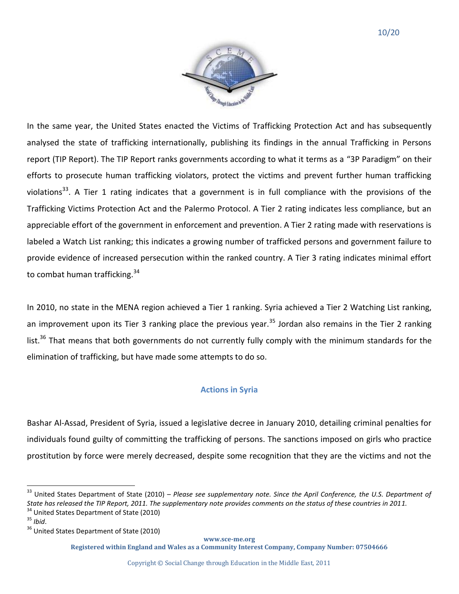

In the same year, the United States enacted the Victims of Trafficking Protection Act and has subsequently analysed the state of trafficking internationally, publishing its findings in the annual Trafficking in Persons report (TIP Report). The TIP Report ranks governments according to what it terms as a "3P Paradigm" on their efforts to prosecute human trafficking violators, protect the victims and prevent further human trafficking violations<sup>33</sup>. A Tier 1 rating indicates that a government is in full compliance with the provisions of the Trafficking Victims Protection Act and the Palermo Protocol. A Tier 2 rating indicates less compliance, but an appreciable effort of the government in enforcement and prevention. A Tier 2 rating made with reservations is labeled a Watch List ranking; this indicates a growing number of trafficked persons and government failure to provide evidence of increased persecution within the ranked country. A Tier 3 rating indicates minimal effort to combat human trafficking.<sup>34</sup>

In 2010, no state in the MENA region achieved a Tier 1 ranking. Syria achieved a Tier 2 Watching List ranking, an improvement upon its Tier 3 ranking place the previous year.<sup>35</sup> Jordan also remains in the Tier 2 ranking list.<sup>36</sup> That means that both governments do not currently fully comply with the minimum standards for the elimination of trafficking, but have made some attempts to do so.

## **Actions in Syria**

Bashar Al-Assad, President of Syria, issued a legislative decree in January 2010, detailing criminal penalties for individuals found guilty of committing the trafficking of persons. The sanctions imposed on girls who practice prostitution by force were merely decreased, despite some recognition that they are the victims and not the

United States Department of State (2010)

l

**www.sce-me.org**

<sup>&</sup>lt;sup>33</sup> United States Department of State (2010) – Please see supplementary note. Since the April Conference, the U.S. Department of *State has released the TIP Report, 2011. The supplementary note provides comments on the status of these countries in 2011.*

<sup>35</sup> *Ibid*.

<sup>&</sup>lt;sup>36</sup> United States Department of State (2010)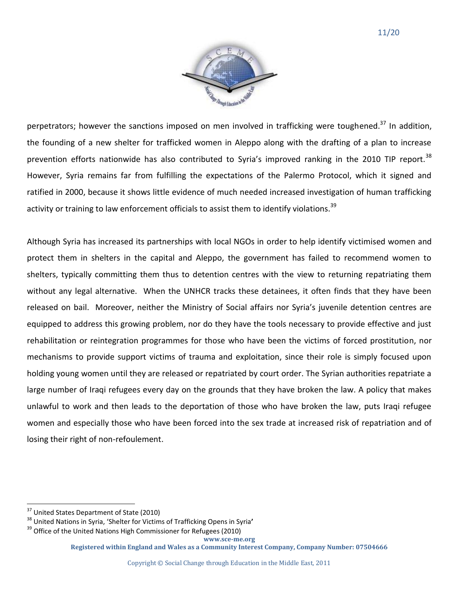

perpetrators; however the sanctions imposed on men involved in trafficking were toughened.<sup>37</sup> In addition, the founding of a new shelter for trafficked women in Aleppo along with the drafting of a plan to increase prevention efforts nationwide has also contributed to Syria's improved ranking in the 2010 TIP report.<sup>38</sup> However, Syria remains far from fulfilling the expectations of the Palermo Protocol, which it signed and ratified in 2000, because it shows little evidence of much needed increased investigation of human trafficking activity or training to law enforcement officials to assist them to identify violations.<sup>39</sup>

Although Syria has increased its partnerships with local NGOs in order to help identify victimised women and protect them in shelters in the capital and Aleppo, the government has failed to recommend women to shelters, typically committing them thus to detention centres with the view to returning repatriating them without any legal alternative. When the UNHCR tracks these detainees, it often finds that they have been released on bail. Moreover, neither the Ministry of Social affairs nor Syria's juvenile detention centres are equipped to address this growing problem, nor do they have the tools necessary to provide effective and just rehabilitation or reintegration programmes for those who have been the victims of forced prostitution, nor mechanisms to provide support victims of trauma and exploitation, since their role is simply focused upon holding young women until they are released or repatriated by court order. The Syrian authorities repatriate a large number of Iraqi refugees every day on the grounds that they have broken the law. A policy that makes unlawful to work and then leads to the deportation of those who have broken the law, puts Iraqi refugee women and especially those who have been forced into the sex trade at increased risk of repatriation and of losing their right of non-refoulement.

 $\overline{a}$ 

United States Department of State (2010)

<sup>38</sup> United Nations in Syria, 'Shelter for Victims of Trafficking Opens in Syria**'**

**www.sce-me.org**  $39$  Office of the United Nations High Commissioner for Refugees (2010)

**Registered within England and Wales as a Community Interest Company, Company Number: 07504666**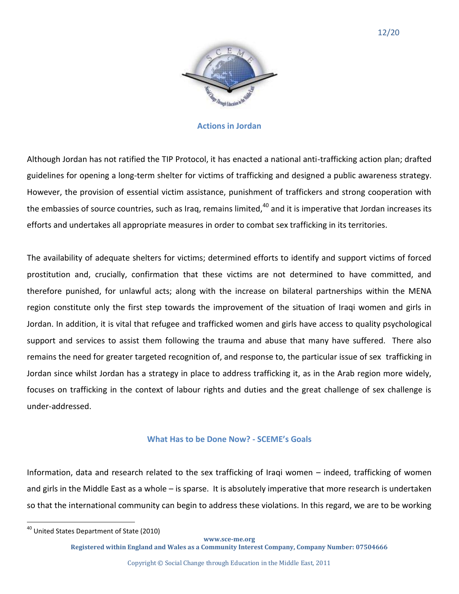

#### **Actions in Jordan**

Although Jordan has not ratified the TIP Protocol, it has enacted a national anti-trafficking action plan; drafted guidelines for opening a long-term shelter for victims of trafficking and designed a public awareness strategy. However, the provision of essential victim assistance, punishment of traffickers and strong cooperation with the embassies of source countries, such as Iraq, remains limited, $40$  and it is imperative that Jordan increases its efforts and undertakes all appropriate measures in order to combat sex trafficking in its territories.

The availability of adequate shelters for victims; determined efforts to identify and support victims of forced prostitution and, crucially, confirmation that these victims are not determined to have committed, and therefore punished, for unlawful acts; along with the increase on bilateral partnerships within the MENA region constitute only the first step towards the improvement of the situation of Iraqi women and girls in Jordan. In addition, it is vital that refugee and trafficked women and girls have access to quality psychological support and services to assist them following the trauma and abuse that many have suffered. There also remains the need for greater targeted recognition of, and response to, the particular issue of sex trafficking in Jordan since whilst Jordan has a strategy in place to address trafficking it, as in the Arab region more widely, focuses on trafficking in the context of labour rights and duties and the great challenge of sex challenge is under-addressed.

## **What Has to be Done Now? - SCEME's Goals**

Information, data and research related to the sex trafficking of Iraqi women – indeed, trafficking of women and girls in the Middle East as a whole – is sparse. It is absolutely imperative that more research is undertaken so that the international community can begin to address these violations. In this regard, we are to be working

l

**www.sce-me.org**

<sup>&</sup>lt;sup>40</sup> United States Department of State (2010)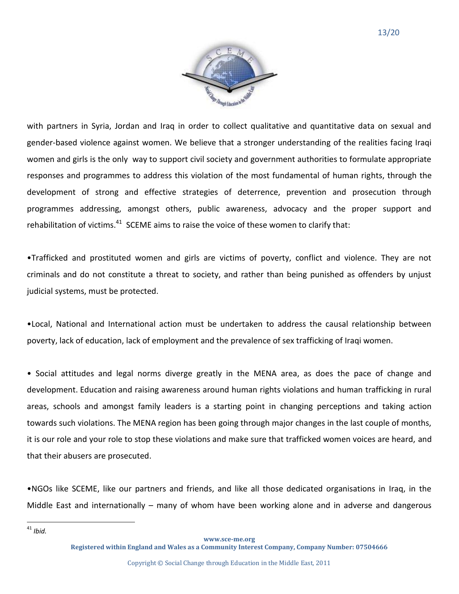

with partners in Syria, Jordan and Iraq in order to collect qualitative and quantitative data on sexual and gender-based violence against women. We believe that a stronger understanding of the realities facing Iraqi women and girls is the only way to support civil society and government authorities to formulate appropriate responses and programmes to address this violation of the most fundamental of human rights, through the development of strong and effective strategies of deterrence, prevention and prosecution through programmes addressing, amongst others, public awareness, advocacy and the proper support and rehabilitation of victims. $^{41}$  SCEME aims to raise the voice of these women to clarify that:

•Trafficked and prostituted women and girls are victims of poverty, conflict and violence. They are not criminals and do not constitute a threat to society, and rather than being punished as offenders by unjust judicial systems, must be protected.

•Local, National and International action must be undertaken to address the causal relationship between poverty, lack of education, lack of employment and the prevalence of sex trafficking of Iraqi women.

• Social attitudes and legal norms diverge greatly in the MENA area, as does the pace of change and development. Education and raising awareness around human rights violations and human trafficking in rural areas, schools and amongst family leaders is a starting point in changing perceptions and taking action towards such violations. The MENA region has been going through major changes in the last couple of months, it is our role and your role to stop these violations and make sure that trafficked women voices are heard, and that their abusers are prosecuted.

•NGOs like SCEME, like our partners and friends, and like all those dedicated organisations in Iraq, in the Middle East and internationally – many of whom have been working alone and in adverse and dangerous

<sup>41</sup> *Ibid.*

l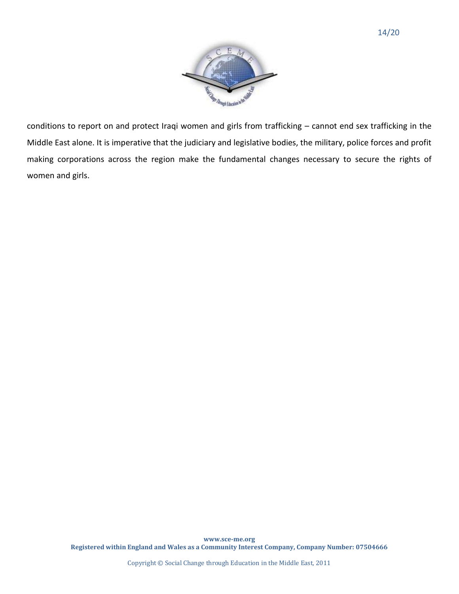

conditions to report on and protect Iraqi women and girls from trafficking – cannot end sex trafficking in the Middle East alone. It is imperative that the judiciary and legislative bodies, the military, police forces and profit making corporations across the region make the fundamental changes necessary to secure the rights of women and girls.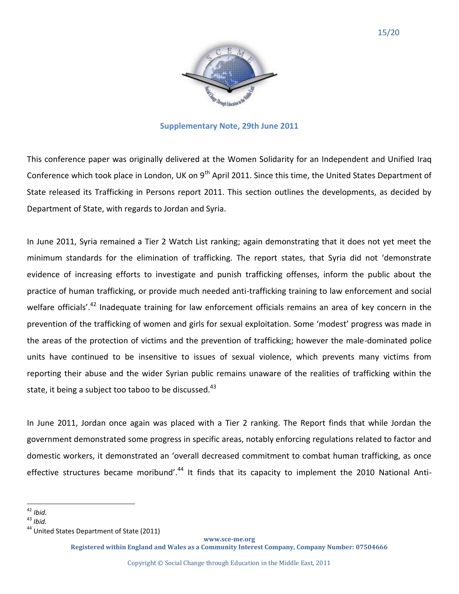

## **Supplementary Note, 29th June 2011**

This conference paper was originally delivered at the Women Solidarity for an Independent and Unified Iraq Conference which took place in London, UK on  $9<sup>th</sup>$  April 2011. Since this time, the United States Department of State released its Trafficking in Persons report 2011. This section outlines the developments, as decided by Department of State, with regards to Jordan and Syria.

In June 2011, Syria remained a Tier 2 Watch List ranking; again demonstrating that it does not yet meet the minimum standards for the elimination of trafficking. The report states, that Syria did not 'demonstrate evidence of increasing efforts to investigate and punish trafficking offenses, inform the public about the practice of human trafficking, or provide much needed anti-trafficking training to law enforcement and social welfare officials'.<sup>42</sup> Inadequate training for law enforcement officials remains an area of key concern in the prevention of the trafficking of women and girls for sexual exploitation. Some 'modest' progress was made in the areas of the protection of victims and the prevention of trafficking; however the male-dominated police units have continued to be insensitive to issues of sexual violence, which prevents many victims from reporting their abuse and the wider Syrian public remains unaware of the realities of trafficking within the state, it being a subject too taboo to be discussed. $43$ 

In June 2011, Jordan once again was placed with a Tier 2 ranking. The Report finds that while Jordan the government demonstrated some progress in specific areas, notably enforcing regulations related to factor and domestic workers, it demonstrated an 'overall decreased commitment to combat human trafficking, as once effective structures became moribund'.<sup>44</sup> It finds that its capacity to implement the 2010 National Anti-

**www.sce-me.org**

 $\overline{a}$ <sup>42</sup> *Ibid.*

<sup>43</sup> *Ibid.*

<sup>&</sup>lt;sup>44</sup> United States Department of State (2011)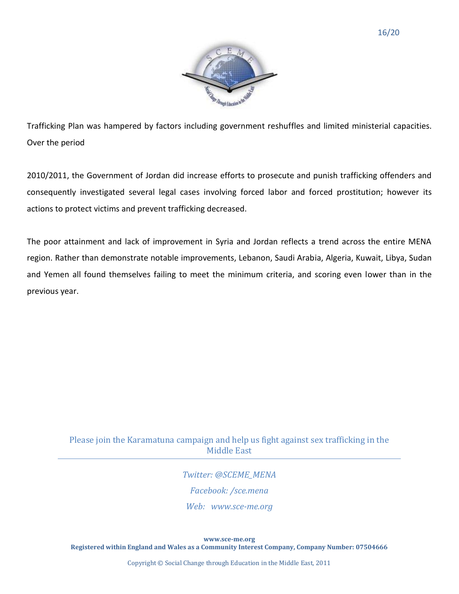

Trafficking Plan was hampered by factors including government reshuffles and limited ministerial capacities. Over the period

2010/2011, the Government of Jordan did increase efforts to prosecute and punish trafficking offenders and consequently investigated several legal cases involving forced labor and forced prostitution; however its actions to protect victims and prevent trafficking decreased.

The poor attainment and lack of improvement in Syria and Jordan reflects a trend across the entire MENA region. Rather than demonstrate notable improvements, Lebanon, Saudi Arabia, Algeria, Kuwait, Libya, Sudan and Yemen all found themselves failing to meet the minimum criteria, and scoring even lower than in the previous year.

# Please join the Karamatuna campaign and help us fight against sex trafficking in the Middle East

*Twitter: @SCEME\_MENA Facebook: /sce.mena Web: www.sce-me.org*

**www.sce-me.org Registered within England and Wales as a Community Interest Company, Company Number: 07504666** 

Copyright © Social Change through Education in the Middle East, 2011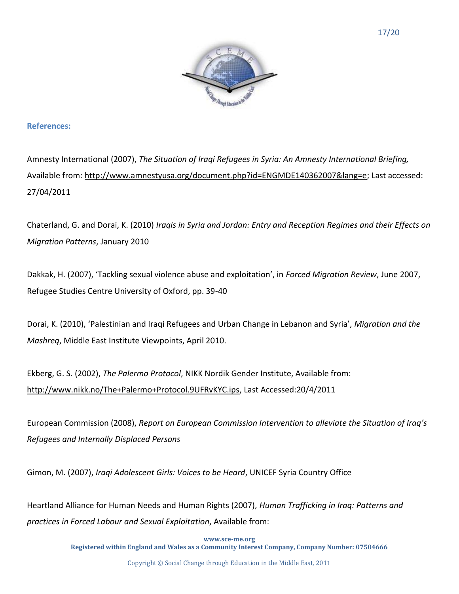

## **References:**

Amnesty International (2007), *The Situation of Iraqi Refugees in Syria: An Amnesty International Briefing,*  Available from: [http://www.amnestyusa.org/document.php?id=ENGMDE140362007&lang=e;](http://www.amnestyusa.org/document.php?id=ENGMDE140362007&lang=e) Last accessed: 27/04/2011

Chaterland, G. and Dorai, K. (2010) *Iraqis in Syria and Jordan: Entry and Reception Regimes and their Effects on Migration Patterns*, January 2010

Dakkak, H. (2007), 'Tackling sexual violence abuse and exploitation', in *Forced Migration Review*, June 2007, Refugee Studies Centre University of Oxford, pp. 39-40

Dorai, K. (2010), 'Palestinian and Iraqi Refugees and Urban Change in Lebanon and Syria', *Migration and the Mashreq*, Middle East Institute Viewpoints, April 2010.

Ekberg, G. S. (2002), *The Palermo Protocol*, NIKK Nordik Gender Institute, Available from: [http://www.nikk.no/The+Palermo+Protocol.9UFRvKYC.ips,](http://www.nikk.no/The+Palermo+Protocol.9UFRvKYC.ips) Last Accessed:20/4/2011

European Commission (2008), *Report on European Commission Intervention to alleviate the Situation of Iraq's Refugees and Internally Displaced Persons*

Gimon, M. (2007), *Iraqi Adolescent Girls: Voices to be Heard*, UNICEF Syria Country Office

Heartland Alliance for Human Needs and Human Rights (2007), *Human Trafficking in Iraq: Patterns and practices in Forced Labour and Sexual Exploitation*, Available from:

> **www.sce-me.org Registered within England and Wales as a Community Interest Company, Company Number: 07504666**

> > Copyright © Social Change through Education in the Middle East, 2011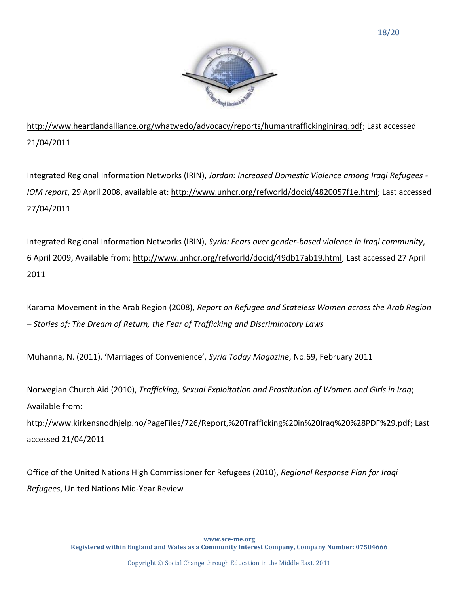

[http://www.heartlandalliance.org/whatwedo/advocacy/reports/humantraffickinginiraq.pdf;](http://www.heartlandalliance.org/whatwedo/advocacy/reports/humantraffickinginiraq.pdf) Last accessed 21/04/2011

Integrated Regional Information Networks (IRIN), *Jordan: Increased Domestic Violence among Iraqi Refugees - IOM report*, 29 April 2008, available at: [http://www.unhcr.org/refworld/docid/4820057f1e.html;](http://www.unhcr.org/refworld/docid/4820057f1e.html) Last accessed 27/04/2011

Integrated Regional Information Networks (IRIN), *Syria: Fears over gender-based violence in Iraqi community*, 6 April 2009, Available from: [http://www.unhcr.org/refworld/docid/49db17ab19.html;](http://www.unhcr.org/refworld/docid/49db17ab19.html) Last accessed 27 April 2011

Karama Movement in the Arab Region (2008), *Report on Refugee and Stateless Women across the Arab Region – Stories of: The Dream of Return, the Fear of Trafficking and Discriminatory Laws*

Muhanna, N. (2011), 'Marriages of Convenience', *Syria Today Magazine*, No.69, February 2011

Norwegian Church Aid (2010), *Trafficking, Sexual Exploitation and Prostitution of Women and Girls in Iraq*; Available from:

[http://www.kirkensnodhjelp.no/PageFiles/726/Report,%20Trafficking%20in%20Iraq%20%28PDF%29.pdf;](http://www.kirkensnodhjelp.no/PageFiles/726/Report,%20Trafficking%20in%20Iraq%20%28PDF%29.pdf) Last accessed 21/04/2011

Office of the United Nations High Commissioner for Refugees (2010), *Regional Response Plan for Iraqi Refugees*, United Nations Mid-Year Review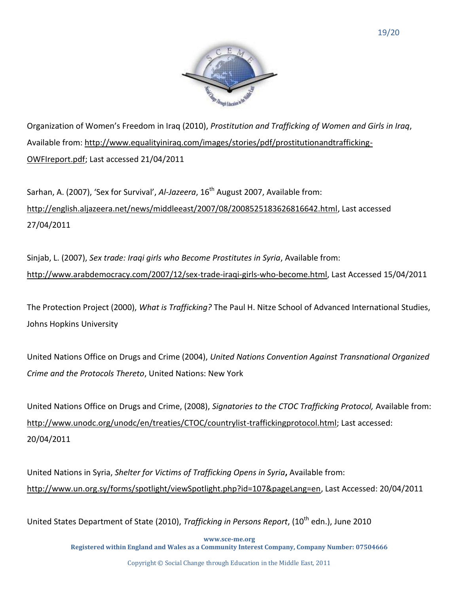

Organization of Women's Freedom in Iraq (2010), *Prostitution and Trafficking of Women and Girls in Iraq*, Available from: [http://www.equalityiniraq.com/images/stories/pdf/prostitutionandtrafficking-](http://www.equalityiniraq.com/images/stories/pdf/prostitutionandtrafficking-OWFIreport.pdf)[OWFIreport.pdf;](http://www.equalityiniraq.com/images/stories/pdf/prostitutionandtrafficking-OWFIreport.pdf) Last accessed 21/04/2011

Sarhan, A. (2007), 'Sex for Survival', *Al-Jazeera*, 16<sup>th</sup> August 2007, Available from: [http://english.aljazeera.net/news/middleeast/2007/08/2008525183626816642.html,](http://english.aljazeera.net/news/middleeast/2007/08/2008525183626816642.html) Last accessed 27/04/2011

Sinjab, L. (2007), *Sex trade: Iraqi girls who Become Prostitutes in Syria*, Available from: [http://www.arabdemocracy.com/2007/12/sex-trade-iraqi-girls-who-become.html,](http://www.arabdemocracy.com/2007/12/sex-trade-iraqi-girls-who-become.html) Last Accessed 15/04/2011

The Protection Project (2000), *What is Trafficking?* The Paul H. Nitze School of Advanced International Studies, Johns Hopkins University

United Nations Office on Drugs and Crime (2004), *United Nations Convention Against Transnational Organized Crime and the Protocols Thereto*, United Nations: New York

United Nations Office on Drugs and Crime, (2008), *Signatories to the CTOC Trafficking Protocol,* Available from: [http://www.unodc.org/unodc/en/treaties/CTOC/countrylist-traffickingprotocol.html;](http://www.unodc.org/unodc/en/treaties/CTOC/countrylist-traffickingprotocol.html) Last accessed: 20/04/2011

United Nations in Syria, *Shelter for Victims of Trafficking Opens in Syria***,** Available from: [http://www.un.org.sy/forms/spotlight/viewSpotlight.php?id=107&pageLang=en,](http://www.un.org.sy/forms/spotlight/viewSpotlight.php?id=107&pageLang=en) Last Accessed: 20/04/2011

United States Department of State (2010), *Trafficking in Persons Report*, (10<sup>th</sup> edn.), June 2010